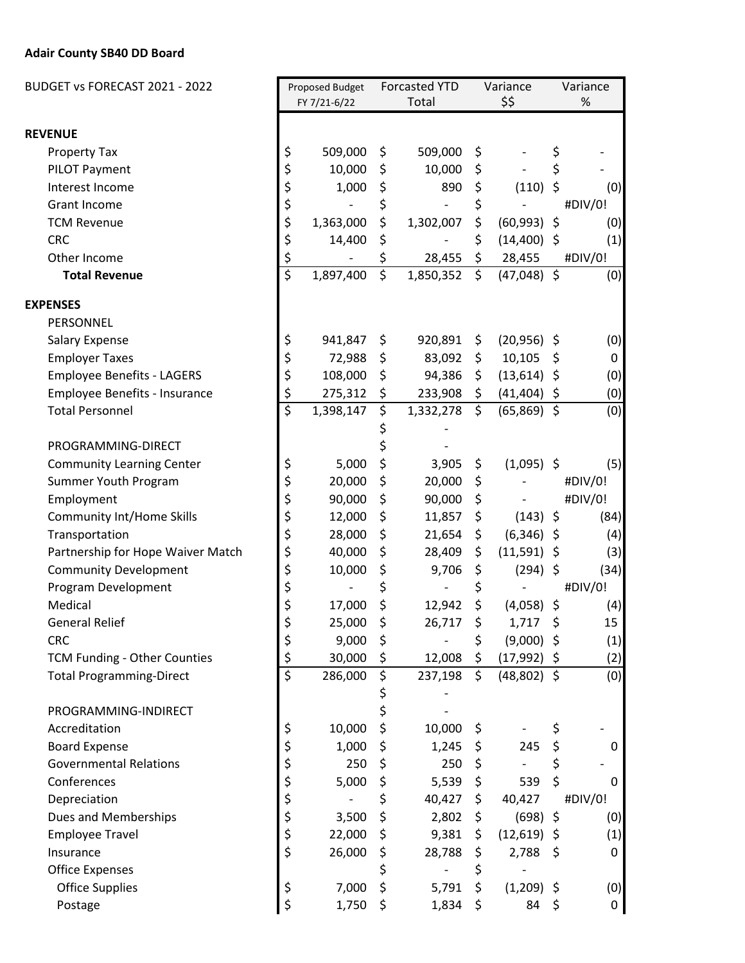## **Adair County SB40 DD Board**

| BUDGET vs FORECAST 2021 - 2022    |                                     | Proposed Budget<br>FY 7/21-6/22 |    | <b>Forcasted YTD</b><br>Total |               | Variance<br>\$\$ |         | Variance<br>% |  |
|-----------------------------------|-------------------------------------|---------------------------------|----|-------------------------------|---------------|------------------|---------|---------------|--|
|                                   |                                     |                                 |    |                               |               |                  |         |               |  |
| <b>REVENUE</b>                    |                                     |                                 |    |                               |               |                  |         |               |  |
| <b>Property Tax</b>               | \$                                  | 509,000                         | \$ | 509,000                       | \$            |                  | \$      |               |  |
| PILOT Payment                     | \$                                  | 10,000                          | \$ | 10,000                        | \$            |                  | \$      |               |  |
| Interest Income                   | \$                                  | 1,000                           | \$ | 890                           | \$            | (110)            | $\zeta$ | (0)           |  |
| <b>Grant Income</b>               | \$                                  |                                 | \$ | $\blacksquare$                | \$            |                  |         | #DIV/0!       |  |
| <b>TCM Revenue</b>                | \$                                  | 1,363,000                       | \$ | 1,302,007                     | \$            | $(60,993)$ \$    |         | (0)           |  |
| <b>CRC</b>                        | \$                                  | 14,400                          | \$ |                               | \$            | $(14,400)$ \$    |         | (1)           |  |
| Other Income                      | \$                                  |                                 | \$ | 28,455                        | \$            | 28,455           |         | #DIV/0!       |  |
| <b>Total Revenue</b>              | \$                                  | 1,897,400                       | \$ | 1,850,352                     | $\zeta$       | $(47,048)$ \$    |         | (0)           |  |
| <b>EXPENSES</b>                   |                                     |                                 |    |                               |               |                  |         |               |  |
| PERSONNEL                         |                                     |                                 |    |                               |               |                  |         |               |  |
| <b>Salary Expense</b>             | \$                                  | 941,847                         | \$ | 920,891                       | \$            | $(20,956)$ \$    |         | (0)           |  |
| <b>Employer Taxes</b>             | \$                                  | 72,988                          | \$ | 83,092                        | \$            | 10,105           | \$      | 0             |  |
| <b>Employee Benefits - LAGERS</b> | \$                                  | 108,000                         | \$ | 94,386                        | $\frac{1}{2}$ | $(13,614)$ \$    |         | (0)           |  |
| Employee Benefits - Insurance     | \$                                  | 275,312                         | \$ | 233,908                       | \$            | $(41, 404)$ \$   |         | (0)           |  |
| <b>Total Personnel</b>            | $\overline{\boldsymbol{\varsigma}}$ | 1,398,147                       | \$ | 1,332,278                     | $\zeta$       | $(65,869)$ \$    |         | (0)           |  |
|                                   |                                     |                                 | \$ |                               |               |                  |         |               |  |
| PROGRAMMING-DIRECT                |                                     |                                 |    |                               |               |                  |         |               |  |
| <b>Community Learning Center</b>  | \$                                  | 5,000                           | \$ | 3,905                         | \$            | $(1,095)$ \$     |         | (5)           |  |
| Summer Youth Program              | \$                                  | 20,000                          | \$ | 20,000                        | \$            |                  |         | #DIV/0!       |  |
| Employment                        | \$                                  | 90,000                          | \$ | 90,000                        | \$            |                  |         | #DIV/0!       |  |
| <b>Community Int/Home Skills</b>  | \$                                  | 12,000                          | \$ | 11,857                        | \$            | $(143)$ \$       |         | (84)          |  |
| Transportation                    | \$                                  | 28,000                          | \$ | 21,654                        | \$            | $(6,346)$ \$     |         | (4)           |  |
| Partnership for Hope Waiver Match | \$                                  | 40,000                          | \$ | 28,409                        | \$            | $(11,591)$ \$    |         | (3)           |  |
| <b>Community Development</b>      | \$                                  | 10,000                          | \$ | 9,706                         | \$            | (294)            | \$      | (34)          |  |
| Program Development               | \$                                  |                                 | \$ |                               | \$            |                  |         | #DIV/0!       |  |
| Medical                           | \$                                  | 17,000                          | \$ | 12,942                        | \$            | $(4,058)$ \$     |         | (4)           |  |
| <b>General Relief</b>             | Ş                                   | 25,000                          | \$ | 26,717                        | \$            | 1,717            | \$      | 15            |  |
| <b>CRC</b>                        | \$                                  | 9,000                           | \$ |                               | \$            | $(9,000)$ \$     |         | (1)           |  |
| TCM Funding - Other Counties      | \$                                  | 30,000                          | \$ | 12,008                        | \$            | $(17,992)$ \$    |         | (2)           |  |
| <b>Total Programming-Direct</b>   | $\overline{\boldsymbol{\varsigma}}$ | 286,000                         | \$ | 237,198                       | $\zeta$       | $(48,802)$ \$    |         | (0)           |  |
|                                   |                                     |                                 | \$ |                               |               |                  |         |               |  |
| PROGRAMMING-INDIRECT              |                                     |                                 | \$ |                               |               |                  |         |               |  |
| Accreditation                     | \$                                  | 10,000                          | \$ | 10,000                        | \$            |                  | \$      |               |  |
| <b>Board Expense</b>              | \$                                  | 1,000                           | \$ | 1,245                         | $\ddot{\phi}$ | 245              | \$      | 0             |  |
| <b>Governmental Relations</b>     | \$                                  | 250                             | \$ | 250                           | \$            |                  | \$      |               |  |
| Conferences                       | \$                                  | 5,000                           | \$ | 5,539                         | \$            | 539              | \$      | 0             |  |
| Depreciation                      | \$                                  |                                 | \$ | 40,427                        | \$            | 40,427           |         | #DIV/0!       |  |
| Dues and Memberships              | \$                                  | 3,500                           | \$ | 2,802                         | \$            | $(698)$ \$       |         | (0)           |  |
| <b>Employee Travel</b>            | \$                                  | 22,000                          | \$ | 9,381                         | \$            | $(12,619)$ \$    |         | (1)           |  |
| Insurance                         | \$                                  | 26,000                          | \$ | 28,788                        | \$            | $2,788$ \$       |         | 0             |  |
| <b>Office Expenses</b>            |                                     |                                 | \$ | $\overline{\phantom{0}}$      | \$            |                  |         |               |  |
| <b>Office Supplies</b>            | \$                                  | 7,000                           | \$ | 5,791                         | \$            | $(1,209)$ \$     |         | (0)           |  |
| Postage                           | \$                                  | 1,750                           | \$ | 1,834                         | $\varsigma$   | 84\$             |         | 0             |  |